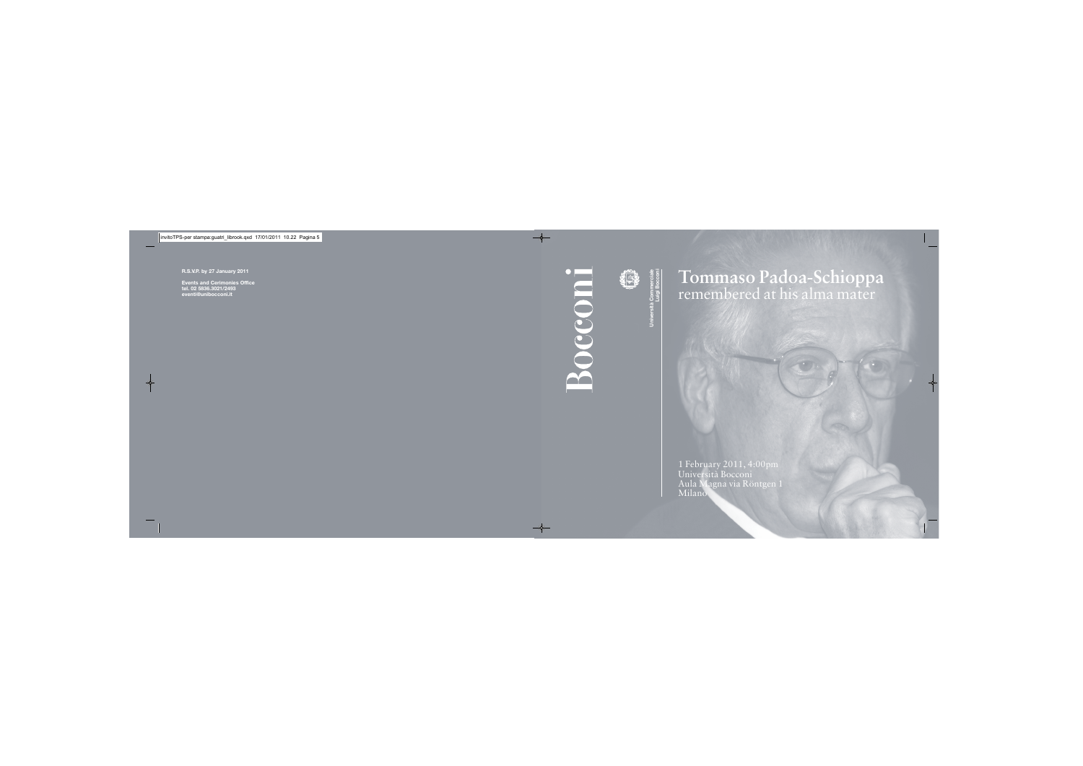**Università Commerciale**



## **Luigi Bocconi Tommaso Padoa-Schioppa** remembered at his alma mater

1 February 2011, 4:00pm Università Bocconi Aula Magna via Röntgen 1 Milano

**R.S.V.P. by 27 January 2011**

**Events and Cerimonies Office tel. 02 5836.3021/2493 eventi@unibocconi.it**